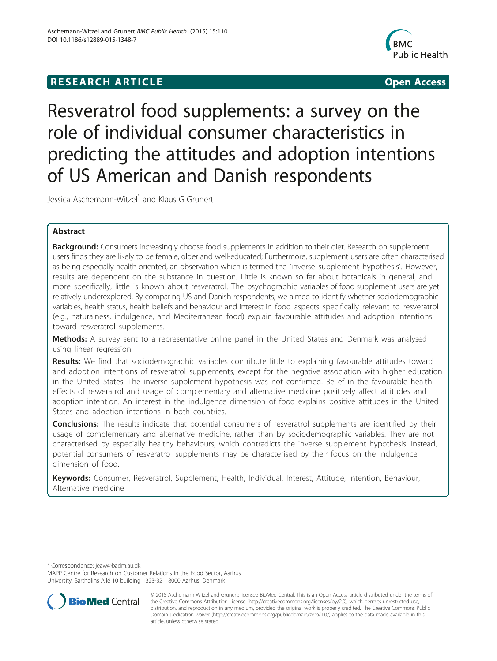# **RESEARCH ARTICLE CONSUMING A RESEARCH ARTICLE**



# Resveratrol food supplements: a survey on the role of individual consumer characteristics in predicting the attitudes and adoption intentions of US American and Danish respondents

Jessica Aschemann-Witzel\* and Klaus G Grunert

# Abstract

**Background:** Consumers increasingly choose food supplements in addition to their diet. Research on supplement users finds they are likely to be female, older and well-educated; Furthermore, supplement users are often characterised as being especially health-oriented, an observation which is termed the 'inverse supplement hypothesis'. However, results are dependent on the substance in question. Little is known so far about botanicals in general, and more specifically, little is known about resveratrol. The psychographic variables of food supplement users are yet relatively underexplored. By comparing US and Danish respondents, we aimed to identify whether sociodemographic variables, health status, health beliefs and behaviour and interest in food aspects specifically relevant to resveratrol (e.g., naturalness, indulgence, and Mediterranean food) explain favourable attitudes and adoption intentions toward resveratrol supplements.

**Methods:** A survey sent to a representative online panel in the United States and Denmark was analysed using linear regression.

Results: We find that sociodemographic variables contribute little to explaining favourable attitudes toward and adoption intentions of resveratrol supplements, except for the negative association with higher education in the United States. The inverse supplement hypothesis was not confirmed. Belief in the favourable health effects of resveratrol and usage of complementary and alternative medicine positively affect attitudes and adoption intention. An interest in the indulgence dimension of food explains positive attitudes in the United States and adoption intentions in both countries.

**Conclusions:** The results indicate that potential consumers of resveratrol supplements are identified by their usage of complementary and alternative medicine, rather than by sociodemographic variables. They are not characterised by especially healthy behaviours, which contradicts the inverse supplement hypothesis. Instead, potential consumers of resveratrol supplements may be characterised by their focus on the indulgence dimension of food.

Keywords: Consumer, Resveratrol, Supplement, Health, Individual, Interest, Attitude, Intention, Behaviour, Alternative medicine

\* Correspondence: [jeaw@badm.au.dk](mailto:jeaw@badm.au.dk)

MAPP Centre for Research on Customer Relations in the Food Sector, Aarhus University, Bartholins Allé 10 building 1323-321, 8000 Aarhus, Denmark



<sup>© 2015</sup> Aschemann-Witzel and Grunert; licensee BioMed Central. This is an Open Access article distributed under the terms of the Creative Commons Attribution License [\(http://creativecommons.org/licenses/by/2.0\)](http://creativecommons.org/licenses/by/2.0), which permits unrestricted use, distribution, and reproduction in any medium, provided the original work is properly credited. The Creative Commons Public Domain Dedication waiver [\(http://creativecommons.org/publicdomain/zero/1.0/\)](http://creativecommons.org/publicdomain/zero/1.0/) applies to the data made available in this article, unless otherwise stated.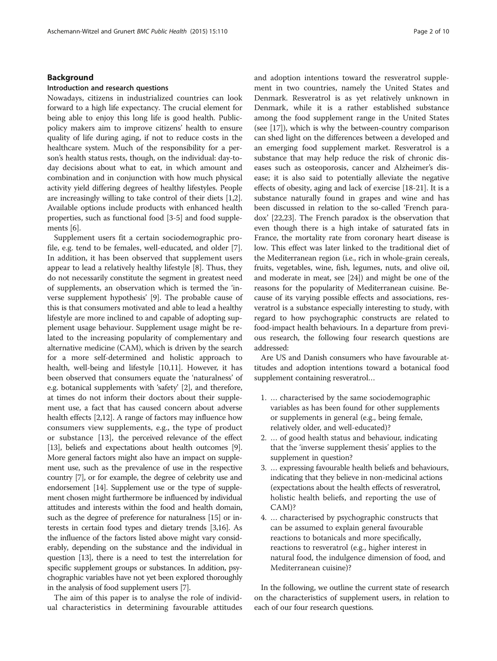#### Background

#### Introduction and research questions

Nowadays, citizens in industrialized countries can look forward to a high life expectancy. The crucial element for being able to enjoy this long life is good health. Publicpolicy makers aim to improve citizens' health to ensure quality of life during aging, if not to reduce costs in the healthcare system. Much of the responsibility for a person's health status rests, though, on the individual: day-today decisions about what to eat, in which amount and combination and in conjunction with how much physical activity yield differing degrees of healthy lifestyles. People are increasingly willing to take control of their diets [[1](#page-8-0),[2](#page-8-0)]. Available options include products with enhanced health properties, such as functional food [[3-5\]](#page-8-0) and food supplements [\[6\]](#page-8-0).

Supplement users fit a certain sociodemographic profile, e.g. tend to be females, well-educated, and older [\[7](#page-8-0)]. In addition, it has been observed that supplement users appear to lead a relatively healthy lifestyle [[8\]](#page-8-0). Thus, they do not necessarily constitute the segment in greatest need of supplements, an observation which is termed the 'inverse supplement hypothesis' [\[9](#page-8-0)]. The probable cause of this is that consumers motivated and able to lead a healthy lifestyle are more inclined to and capable of adopting supplement usage behaviour. Supplement usage might be related to the increasing popularity of complementary and alternative medicine (CAM), which is driven by the search for a more self-determined and holistic approach to health, well-being and lifestyle [[10,11\]](#page-8-0). However, it has been observed that consumers equate the 'naturalness' of e.g. botanical supplements with 'safety' [\[2](#page-8-0)], and therefore, at times do not inform their doctors about their supplement use, a fact that has caused concern about adverse health effects [\[2,12\]](#page-8-0). A range of factors may influence how consumers view supplements, e.g., the type of product or substance [[13\]](#page-8-0), the perceived relevance of the effect [[13](#page-8-0)], beliefs and expectations about health outcomes [[9](#page-8-0)]. More general factors might also have an impact on supplement use, such as the prevalence of use in the respective country [\[7\]](#page-8-0), or for example, the degree of celebrity use and endorsement [[14](#page-8-0)]. Supplement use or the type of supplement chosen might furthermore be influenced by individual attitudes and interests within the food and health domain, such as the degree of preference for naturalness [\[15\]](#page-8-0) or interests in certain food types and dietary trends [[3,16\]](#page-8-0). As the influence of the factors listed above might vary considerably, depending on the substance and the individual in question [\[13\]](#page-8-0), there is a need to test the interrelation for specific supplement groups or substances. In addition, psychographic variables have not yet been explored thoroughly in the analysis of food supplement users [\[7](#page-8-0)].

The aim of this paper is to analyse the role of individual characteristics in determining favourable attitudes and adoption intentions toward the resveratrol supplement in two countries, namely the United States and Denmark. Resveratrol is as yet relatively unknown in Denmark, while it is a rather established substance among the food supplement range in the United States (see [[17](#page-8-0)]), which is why the between-country comparison can shed light on the differences between a developed and an emerging food supplement market. Resveratrol is a substance that may help reduce the risk of chronic diseases such as osteoporosis, cancer and Alzheimer's disease; it is also said to potentially alleviate the negative effects of obesity, aging and lack of exercise [\[18-21](#page-8-0)]. It is a substance naturally found in grapes and wine and has been discussed in relation to the so-called 'French paradox' [[22,23\]](#page-8-0). The French paradox is the observation that even though there is a high intake of saturated fats in France, the mortality rate from coronary heart disease is low. This effect was later linked to the traditional diet of the Mediterranean region (i.e., rich in whole-grain cereals, fruits, vegetables, wine, fish, legumes, nuts, and olive oil, and moderate in meat, see [[24](#page-8-0)]) and might be one of the reasons for the popularity of Mediterranean cuisine. Because of its varying possible effects and associations, resveratrol is a substance especially interesting to study, with regard to how psychographic constructs are related to food-impact health behaviours. In a departure from previous research, the following four research questions are addressed:

Are US and Danish consumers who have favourable attitudes and adoption intentions toward a botanical food supplement containing resveratrol…

- 1. … characterised by the same sociodemographic variables as has been found for other supplements or supplements in general (e.g., being female, relatively older, and well-educated)?
- 2. … of good health status and behaviour, indicating that the 'inverse supplement thesis' applies to the supplement in question?
- 3. … expressing favourable health beliefs and behaviours, indicating that they believe in non-medicinal actions (expectations about the health effects of resveratrol, holistic health beliefs, and reporting the use of CAM)?
- 4. … characterised by psychographic constructs that can be assumed to explain general favourable reactions to botanicals and more specifically, reactions to resveratrol (e.g., higher interest in natural food, the indulgence dimension of food, and Mediterranean cuisine)?

In the following, we outline the current state of research on the characteristics of supplement users, in relation to each of our four research questions.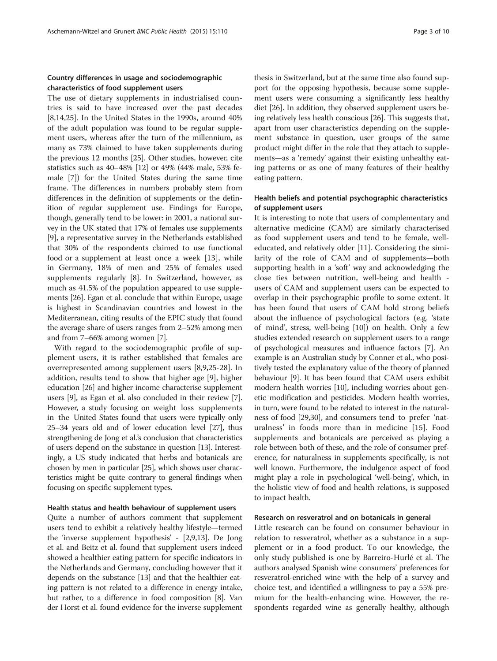### Country differences in usage and sociodemographic characteristics of food supplement users

The use of dietary supplements in industrialised countries is said to have increased over the past decades [[8,14,25\]](#page-8-0). In the United States in the 1990s, around 40% of the adult population was found to be regular supplement users, whereas after the turn of the millennium, as many as 73% claimed to have taken supplements during the previous 12 months [[25](#page-8-0)]. Other studies, however, cite statistics such as 40–48% [\[12\]](#page-8-0) or 49% (44% male, 53% female [\[7](#page-8-0)]) for the United States during the same time frame. The differences in numbers probably stem from differences in the definition of supplements or the definition of regular supplement use. Findings for Europe, though, generally tend to be lower: in 2001, a national survey in the UK stated that 17% of females use supplements [[9\]](#page-8-0), a representative survey in the Netherlands established that 30% of the respondents claimed to use functional food or a supplement at least once a week [\[13](#page-8-0)], while in Germany, 18% of men and 25% of females used supplements regularly [\[8\]](#page-8-0). In Switzerland, however, as much as 41.5% of the population appeared to use supplements [\[26\]](#page-8-0). Egan et al. conclude that within Europe, usage is highest in Scandinavian countries and lowest in the Mediterranean, citing results of the EPIC study that found the average share of users ranges from 2–52% among men and from 7–66% among women [\[7](#page-8-0)].

With regard to the sociodemographic profile of supplement users, it is rather established that females are overrepresented among supplement users [[8,9,25-28](#page-8-0)]. In addition, results tend to show that higher age [\[9](#page-8-0)], higher education [\[26\]](#page-8-0) and higher income characterise supplement users [\[9](#page-8-0)], as Egan et al. also concluded in their review [[7](#page-8-0)]. However, a study focusing on weight loss supplements in the United States found that users were typically only 25–34 years old and of lower education level [\[27\]](#page-8-0), thus strengthening de Jong et al.'s conclusion that characteristics of users depend on the substance in question [\[13\]](#page-8-0). Interestingly, a US study indicated that herbs and botanicals are chosen by men in particular [\[25\]](#page-8-0), which shows user characteristics might be quite contrary to general findings when focusing on specific supplement types.

#### Health status and health behaviour of supplement users

Quite a number of authors comment that supplement users tend to exhibit a relatively healthy lifestyle—termed the 'inverse supplement hypothesis' - [\[2,9,13\]](#page-8-0). De Jong et al. and Beitz et al. found that supplement users indeed showed a healthier eating pattern for specific indicators in the Netherlands and Germany, concluding however that it depends on the substance [\[13\]](#page-8-0) and that the healthier eating pattern is not related to a difference in energy intake, but rather, to a difference in food composition [\[8](#page-8-0)]. Van der Horst et al. found evidence for the inverse supplement thesis in Switzerland, but at the same time also found support for the opposing hypothesis, because some supplement users were consuming a significantly less healthy diet [[26\]](#page-8-0). In addition, they observed supplement users being relatively less health conscious [\[26\]](#page-8-0). This suggests that, apart from user characteristics depending on the supplement substance in question, user groups of the same product might differ in the role that they attach to supplements—as a 'remedy' against their existing unhealthy eating patterns or as one of many features of their healthy eating pattern.

## Health beliefs and potential psychographic characteristics of supplement users

It is interesting to note that users of complementary and alternative medicine (CAM) are similarly characterised as food supplement users and tend to be female, welleducated, and relatively older [\[11](#page-8-0)]. Considering the similarity of the role of CAM and of supplements—both supporting health in a 'soft' way and acknowledging the close ties between nutrition, well-being and health users of CAM and supplement users can be expected to overlap in their psychographic profile to some extent. It has been found that users of CAM hold strong beliefs about the influence of psychological factors (e.g. 'state of mind', stress, well-being [[10](#page-8-0)]) on health. Only a few studies extended research on supplement users to a range of psychological measures and influence factors [[7\]](#page-8-0). An example is an Australian study by Conner et al., who positively tested the explanatory value of the theory of planned behaviour [\[9\]](#page-8-0). It has been found that CAM users exhibit modern health worries [\[10\]](#page-8-0), including worries about genetic modification and pesticides. Modern health worries, in turn, were found to be related to interest in the naturalness of food [\[29,30\]](#page-8-0), and consumers tend to prefer 'naturalness' in foods more than in medicine [\[15](#page-8-0)]. Food supplements and botanicals are perceived as playing a role between both of these, and the role of consumer preference, for naturalness in supplements specifically, is not well known. Furthermore, the indulgence aspect of food might play a role in psychological 'well-being', which, in the holistic view of food and health relations, is supposed to impact health.

#### Research on resveratrol and on botanicals in general

Little research can be found on consumer behaviour in relation to resveratrol, whether as a substance in a supplement or in a food product. To our knowledge, the only study published is one by Barreiro-Hurlé et al. The authors analysed Spanish wine consumers' preferences for resveratrol-enriched wine with the help of a survey and choice test, and identified a willingness to pay a 55% premium for the health-enhancing wine. However, the respondents regarded wine as generally healthy, although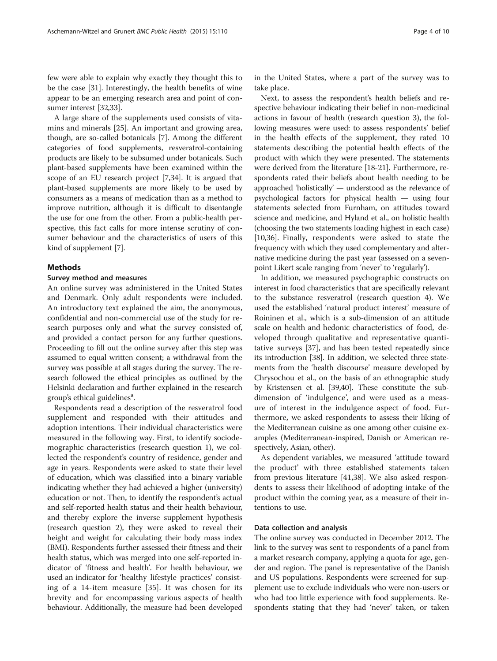few were able to explain why exactly they thought this to be the case [[31](#page-8-0)]. Interestingly, the health benefits of wine appear to be an emerging research area and point of consumer interest [[32](#page-8-0),[33](#page-8-0)].

A large share of the supplements used consists of vitamins and minerals [\[25\]](#page-8-0). An important and growing area, though, are so-called botanicals [[7\]](#page-8-0). Among the different categories of food supplements, resveratrol-containing products are likely to be subsumed under botanicals. Such plant-based supplements have been examined within the scope of an EU research project [\[7,34\]](#page-8-0). It is argued that plant-based supplements are more likely to be used by consumers as a means of medication than as a method to improve nutrition, although it is difficult to disentangle the use for one from the other. From a public-health perspective, this fact calls for more intense scrutiny of consumer behaviour and the characteristics of users of this kind of supplement [\[7\]](#page-8-0).

#### **Mathods**

#### Survey method and measures

An online survey was administered in the United States and Denmark. Only adult respondents were included. An introductory text explained the aim, the anonymous, confidential and non-commercial use of the study for research purposes only and what the survey consisted of, and provided a contact person for any further questions. Proceeding to fill out the online survey after this step was assumed to equal written consent; a withdrawal from the survey was possible at all stages during the survey. The research followed the ethical principles as outlined by the Helsinki declaration and further explained in the research group's ethical guidelines<sup>a</sup>.

Respondents read a description of the resveratrol food supplement and responded with their attitudes and adoption intentions. Their individual characteristics were measured in the following way. First, to identify sociodemographic characteristics (research question 1), we collected the respondent's country of residence, gender and age in years. Respondents were asked to state their level of education, which was classified into a binary variable indicating whether they had achieved a higher (university) education or not. Then, to identify the respondent's actual and self-reported health status and their health behaviour, and thereby explore the inverse supplement hypothesis (research question 2), they were asked to reveal their height and weight for calculating their body mass index (BMI). Respondents further assessed their fitness and their health status, which was merged into one self-reported indicator of 'fitness and health'. For health behaviour, we used an indicator for 'healthy lifestyle practices' consisting of a 14-item measure [[35\]](#page-8-0). It was chosen for its brevity and for encompassing various aspects of health behaviour. Additionally, the measure had been developed

in the United States, where a part of the survey was to take place.

Next, to assess the respondent's health beliefs and respective behaviour indicating their belief in non-medicinal actions in favour of health (research question 3), the following measures were used: to assess respondents' belief in the health effects of the supplement, they rated 10 statements describing the potential health effects of the product with which they were presented. The statements were derived from the literature [\[18-21\]](#page-8-0). Furthermore, respondents rated their beliefs about health needing to be approached 'holistically' — understood as the relevance of psychological factors for physical health — using four statements selected from Furnham, on attitudes toward science and medicine, and Hyland et al., on holistic health (choosing the two statements loading highest in each case) [[10](#page-8-0),[36](#page-8-0)]. Finally, respondents were asked to state the frequency with which they used complementary and alternative medicine during the past year (assessed on a sevenpoint Likert scale ranging from 'never' to 'regularly').

In addition, we measured psychographic constructs on interest in food characteristics that are specifically relevant to the substance resveratrol (research question 4). We used the established 'natural product interest' measure of Roininen et al., which is a sub-dimension of an attitude scale on health and hedonic characteristics of food, developed through qualitative and representative quantitative surveys [\[37\]](#page-8-0), and has been tested repeatedly since its introduction [\[38\]](#page-9-0). In addition, we selected three statements from the 'health discourse' measure developed by Chrysochou et al., on the basis of an ethnographic study by Kristensen et al. [\[39,40](#page-9-0)]. These constitute the subdimension of 'indulgence', and were used as a measure of interest in the indulgence aspect of food. Furthermore, we asked respondents to assess their liking of the Mediterranean cuisine as one among other cuisine examples (Mediterranean-inspired, Danish or American respectively, Asian, other).

As dependent variables, we measured 'attitude toward the product' with three established statements taken from previous literature [[41,38](#page-9-0)]. We also asked respondents to assess their likelihood of adopting intake of the product within the coming year, as a measure of their intentions to use.

#### Data collection and analysis

The online survey was conducted in December 2012. The link to the survey was sent to respondents of a panel from a market research company, applying a quota for age, gender and region. The panel is representative of the Danish and US populations. Respondents were screened for supplement use to exclude individuals who were non-users or who had too little experience with food supplements. Respondents stating that they had 'never' taken, or taken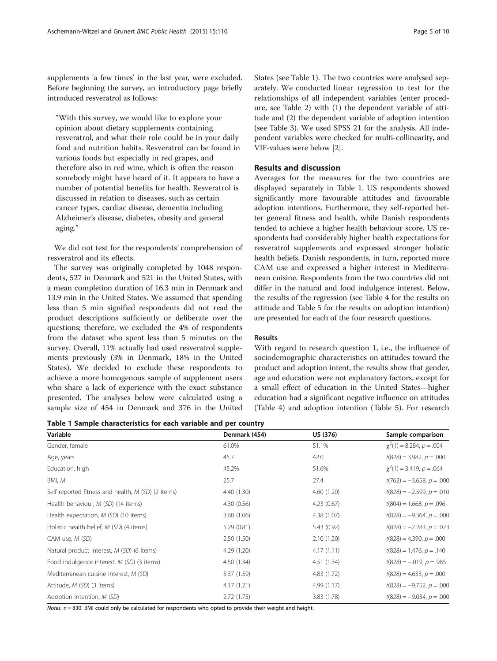supplements 'a few times' in the last year, were excluded. Before beginning the survey, an introductory page briefly introduced resveratrol as follows:

"With this survey, we would like to explore your opinion about dietary supplements containing resveratrol, and what their role could be in your daily food and nutrition habits. Resveratrol can be found in various foods but especially in red grapes, and therefore also in red wine, which is often the reason somebody might have heard of it. It appears to have a number of potential benefits for health. Resveratrol is discussed in relation to diseases, such as certain cancer types, cardiac disease, dementia including Alzheimer's disease, diabetes, obesity and general aging."

We did not test for the respondents' comprehension of resveratrol and its effects.

The survey was originally completed by 1048 respondents, 527 in Denmark and 521 in the United States, with a mean completion duration of 16.3 min in Denmark and 13.9 min in the United States. We assumed that spending less than 5 min signified respondents did not read the product descriptions sufficiently or deliberate over the questions; therefore, we excluded the 4% of respondents from the dataset who spent less than 5 minutes on the survey. Overall, 11% actually had used resveratrol supplements previously (3% in Denmark, 18% in the United States). We decided to exclude these respondents to achieve a more homogenous sample of supplement users who share a lack of experience with the exact substance presented. The analyses below were calculated using a sample size of 454 in Denmark and 376 in the United States (see Table 1). The two countries were analysed separately. We conducted linear regression to test for the

relationships of all independent variables (enter procedure, see Table [2\)](#page-5-0) with (1) the dependent variable of attitude and (2) the dependent variable of adoption intention (see Table [3\)](#page-5-0). We used SPSS 21 for the analysis. All independent variables were checked for multi-collinearity, and VIF-values were below |2|.

# Results and discussion

Averages for the measures for the two countries are displayed separately in Table 1. US respondents showed significantly more favourable attitudes and favourable adoption intentions. Furthermore, they self-reported better general fitness and health, while Danish respondents tended to achieve a higher health behaviour score. US respondents had considerably higher health expectations for resveratrol supplements and expressed stronger holistic health beliefs. Danish respondents, in turn, reported more CAM use and expressed a higher interest in Mediterranean cuisine. Respondents from the two countries did not differ in the natural and food indulgence interest. Below, the results of the regression (see Table [4](#page-6-0) for the results on attitude and Table [5](#page-6-0) for the results on adoption intention) are presented for each of the four research questions.

### Results

With regard to research question 1, i.e., the influence of sociodemographic characteristics on attitudes toward the product and adoption intent, the results show that gender, age and education were not explanatory factors, except for a small effect of education in the United States—higher education had a significant negative influence on attitudes (Table [4](#page-6-0)) and adoption intention (Table [5](#page-6-0)). For research

|  | Table 1 Sample characteristics for each variable and per country |  |  |
|--|------------------------------------------------------------------|--|--|
|--|------------------------------------------------------------------|--|--|

| Variable                                           | Denmark (454) | US (376)    | Sample comparison                  |
|----------------------------------------------------|---------------|-------------|------------------------------------|
| Gender, female                                     | 61.0%         | 51.1%       | $\chi^2(1) = 8.284, p = .004$      |
| Age, years                                         | 45.7          | 42.0        | $t(828) = 3.982, p = .000$         |
| Education, high                                    | 45.2%         | 51.6%       | $\gamma^2(1) = 3.419$ , $p = .064$ |
| BMI, M                                             | 25.7          | 27.4        | $t(762) = -3.658$ , $p = .000$     |
| Self-reported fitness and health, M (SD) (2 items) | 4.40 (1.30)   | 4.60(1.20)  | $t(828) = -2.599$ , $p = .010$     |
| Health behaviour, M (SD) (14 items)                | 4.30(0.56)    | 4.23(0.67)  | $t(804) = 1.668, p = .096$         |
| Health expectation, M (SD) (10 items)              | 3.68(1.06)    | 4.38 (1.07) | $t(828) = -9.364, p = .000$        |
| Holistic health belief, M (SD) (4 items)           | 5.29(0.81)    | 5.43 (0.92) | $t(828) = -2.283$ , $p = .023$     |
| CAM use, M (SD)                                    | 2.50(1.50)    | 2.10(1.20)  | $t(828) = 4.390, p = .000$         |
| Natural product interest, M (SD) (6 items)         | 4.29(1.20)    | 4.17(1.11)  | $t(828) = 1.476, p = .140$         |
| Food indulgence interest, M (SD) (3 items)         | 4.50(1.34)    | 4.51(1.34)  | $t(828) = -.019$ , $p = .985$      |
| Mediterranean cuisine interest, M (SD)             | 5.37 (1.59)   | 4.83(1.72)  | $t(828) = 4.633, p = .000$         |
| Attitude, M (SD) (3 items)                         | 4.17(1.21)    | 4.99(1.17)  | $t(828) = -9.752$ , $p = .000$     |
| Adoption intention, M (SD)                         | 2.72(1.75)    | 3.83 (1.78) | $t(828) = -9.034, p = .000$        |
|                                                    |               |             |                                    |

Notes.  $n = 830$ . BMI could only be calculated for respondents who opted to provide their weight and height.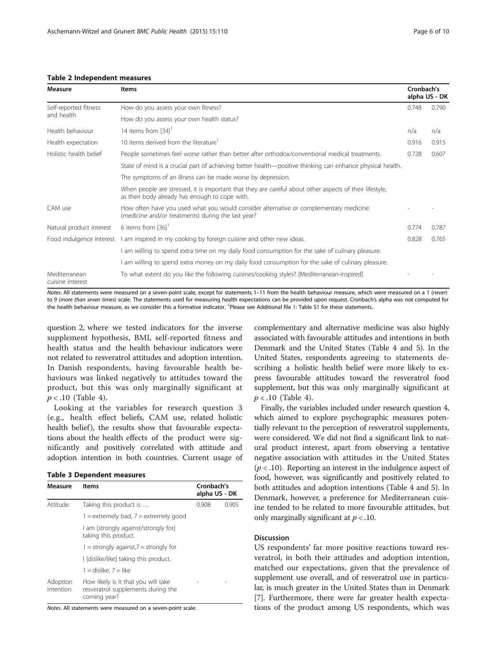| Measure                           | <b>Items</b>                                                                                                                                              |       |       |  |
|-----------------------------------|-----------------------------------------------------------------------------------------------------------------------------------------------------------|-------|-------|--|
| Self-reported fitness             | How do you assess your own fitness?                                                                                                                       | 0.748 | 0.790 |  |
| and health                        | How do you assess your own health status?                                                                                                                 |       |       |  |
| Health behaviour                  | 14 items from $[34]$ <sup>1</sup>                                                                                                                         | n/a   | n/a   |  |
| Health expectation                | 10 items derived from the literature <sup>1</sup>                                                                                                         | 0.916 | 0.915 |  |
| Holistic health belief            | People sometimes feel worse rather than better after orthodox/conventional medical treatments.                                                            | 0.728 | 0.607 |  |
|                                   | State of mind is a crucial part of achieving better health—positive thinking can enhance physical health.                                                 |       |       |  |
|                                   | The symptoms of an illness can be made worse by depression.                                                                                               |       |       |  |
|                                   | When people are stressed, it is important that they are careful about other aspects of their lifestyle,<br>as their body already has enough to cope with. |       |       |  |
| CAM use                           | How often have you used what you would consider alternative or complementary medicine<br>(medicine and/or treatments) during the last year?               |       |       |  |
| Natural product interest          | 6 items from $[36]$ <sup>1</sup>                                                                                                                          | 0.774 | 0.787 |  |
| Food indulgence interest          | I am inspired in my cooking by foreign cuisine and other new ideas.                                                                                       | 0.828 | 0.765 |  |
|                                   | I am willing to spend extra time on my daily food consumption for the sake of culinary pleasure.                                                          |       |       |  |
|                                   | I am willing to spend extra money on my daily food consumption for the sake of culinary pleasure.                                                         |       |       |  |
| Mediterranean<br>cuisine interest | To what extent do you like the following cuisines/cooking styles? [Mediterranean-inspired]                                                                |       |       |  |

# <span id="page-5-0"></span>Table 2 Independent measures

Notes. All statements were measured on a seven-point scale, except for statements 1-11 from the health behaviour measure, which were measured on a 1 (never) to 9 (more than seven times) scale. The statements used for measuring health expectations can be provided upon request. Cronbach's alpha was not computed for the health behaviour measure, as we consider this a formative indicator. <sup>1</sup>Please see Additional file [1:](#page-8-0) Table S1 for these statements.

question 2, where we tested indicators for the inverse supplement hypothesis, BMI, self-reported fitness and health status and the health behaviour indicators were not related to resveratrol attitudes and adoption intention. In Danish respondents, having favourable health behaviours was linked negatively to attitudes toward the product, but this was only marginally significant at  $p < .10$  (Table [4](#page-6-0)).

Looking at the variables for research question 3 (e.g., health effect beliefs, CAM use, related holistic health belief), the results show that favourable expectations about the health effects of the product were significantly and positively correlated with attitude and adoption intention in both countries. Current usage of

|  |  | <b>Table 3 Dependent measures</b> |  |
|--|--|-----------------------------------|--|
|--|--|-----------------------------------|--|

| Measure               | ltems                                                                                     | Cronbach's<br>alpha US - DK |  |  |  |  |
|-----------------------|-------------------------------------------------------------------------------------------|-----------------------------|--|--|--|--|
| Attitude              | Taking this product is                                                                    | 0.908                       |  |  |  |  |
|                       | $1 =$ extremely bad, $7 =$ extremely good                                                 |                             |  |  |  |  |
|                       | I am [strongly against/strongly for]<br>taking this product.                              |                             |  |  |  |  |
|                       | $1 =$ strongly against, $7 =$ strongly for                                                |                             |  |  |  |  |
|                       | I [dislike/like] taking this product.                                                     |                             |  |  |  |  |
|                       | $1 =$ dislike, $7 =$ like                                                                 |                             |  |  |  |  |
| Adoption<br>intention | How likely is it that you will take<br>resveratrol supplements during the<br>coming year? |                             |  |  |  |  |

Notes. All statements were measured on a seven-point scale.

complementary and alternative medicine was also highly associated with favourable attitudes and intentions in both Denmark and the United States (Table [4](#page-6-0) and [5\)](#page-6-0). In the United States, respondents agreeing to statements describing a holistic health belief were more likely to express favourable attitudes toward the resveratrol food supplement, but this was only marginally significant at  $p < .10$  (Table [4](#page-6-0)).

Finally, the variables included under research question 4, which aimed to explore psychographic measures potentially relevant to the perception of resveratrol supplements, were considered. We did not find a significant link to natural product interest, apart from observing a tentative negative association with attitudes in the United States  $(p < .10)$ . Reporting an interest in the indulgence aspect of food, however, was significantly and positively related to both attitudes and adoption intentions (Table [4](#page-6-0) and [5\)](#page-6-0). In Denmark, however, a preference for Mediterranean cuisine tended to be related to more favourable attitudes, but only marginally significant at  $p < .10$ .

#### Discussion

US respondents' far more positive reactions toward resveratrol, in both their attitudes and adoption intention, matched our expectations, given that the prevalence of supplement use overall, and of resveratrol use in particular, is much greater in the United States than in Denmark [[7\]](#page-8-0). Furthermore, there were far greater health expectations of the product among US respondents, which was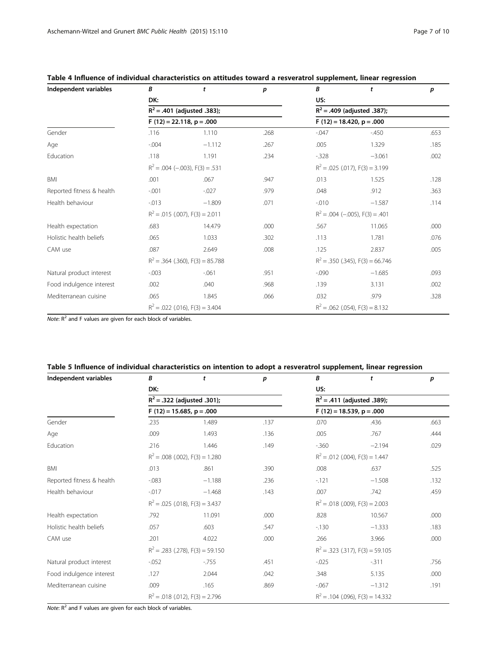| Independent variables     | B                                    | t                                 | p    | B                                  | t                                   | p    |
|---------------------------|--------------------------------------|-----------------------------------|------|------------------------------------|-------------------------------------|------|
|                           | DK:                                  |                                   |      | US:                                |                                     |      |
|                           | $R^2$ = .401 (adjusted .383);        |                                   |      | $R^2$ = .409 (adjusted .387);      |                                     |      |
|                           |                                      | $F(12) = 22.118$ , $p = .000$     |      |                                    | $F(12) = 18.420, p = .000$          |      |
| Gender                    | .116                                 | 1.110                             | .268 | $-.047$                            | $-450$                              | .653 |
| Age                       | $-0.004$                             | $-1.112$                          | .267 | .005                               | 1.329                               | .185 |
| Education                 | .118                                 | 1.191                             | .234 | $-328$                             | $-3.061$                            | .002 |
|                           |                                      | $R^2$ = .004 (-.003), F(3) = .531 |      |                                    | $R^2$ = .025 (.017), F(3) = 3.199   |      |
| <b>BMI</b>                | .001                                 | .067                              | .947 | .013                               | 1.525                               | .128 |
| Reported fitness & health | $-.001$                              | $-0.027$                          | .979 | .048                               | .912                                | .363 |
| Health behaviour          | $-0.013$                             | $-1.809$                          | .071 | $-0.010$                           | $-1.587$                            | .114 |
|                           |                                      | $R^2$ = .015 (.007), F(3) = 2.011 |      |                                    | $R^2 = .004$ (-.005), $F(3) = .401$ |      |
| Health expectation        | .683                                 | 14.479                            | .000 | .567                               | 11.065                              | .000 |
| Holistic health beliefs   | .065                                 | 1.033                             | .302 | .113                               | 1.781                               | .076 |
| CAM use                   | .087                                 | 2.649                             | .008 | .125                               | 2.837                               | .005 |
|                           | $R^2 = .364$ (.360), $F(3) = 85.788$ |                                   |      | $R^2$ = .350 (.345), F(3) = 66.746 |                                     |      |
| Natural product interest  | $-0.003$                             | $-061$                            | .951 | $-0.090$                           | $-1.685$                            | .093 |
| Food indulgence interest  | .002                                 | .040                              | .968 | .139                               | 3.131                               | .002 |
| Mediterranean cuisine     | .065                                 | 1.845                             | .066 | .032                               | .979                                | .328 |
|                           |                                      | $R^2$ = .022 (.016), F(3) = 3.404 |      |                                    | $R^2$ = .062 (.054), F(3) = 8.132   |      |

<span id="page-6-0"></span>

| Table 4 Influence of individual characteristics on attitudes toward a resveratrol supplement, linear regression |  |  |  |  |  |  |
|-----------------------------------------------------------------------------------------------------------------|--|--|--|--|--|--|
|-----------------------------------------------------------------------------------------------------------------|--|--|--|--|--|--|

Note:  $R^2$  and F values are given for each block of variables.

| Table 5 Influence of individual characteristics on intention to adopt a resveratrol supplement, linear regression |  |  |  |  |  |
|-------------------------------------------------------------------------------------------------------------------|--|--|--|--|--|
|-------------------------------------------------------------------------------------------------------------------|--|--|--|--|--|

| Independent variables     | В                                  | t                                 | p    | В                                  | t                                  | p    |  |
|---------------------------|------------------------------------|-----------------------------------|------|------------------------------------|------------------------------------|------|--|
|                           | DK:                                |                                   |      | US:                                |                                    |      |  |
|                           | $R^2$ = .322 (adjusted .301);      |                                   |      | $R^2 = .411$ (adjusted .389);      |                                    |      |  |
|                           |                                    | $F(12) = 15.685, p = .000$        |      |                                    | $F(12) = 18.539, p = .000$         |      |  |
| Gender                    | .235                               | 1.489                             | .137 | .070                               | .436                               | .663 |  |
| Age                       | .009                               | 1.493                             | .136 | .005                               | .767                               | .444 |  |
| Education                 | .216                               | 1.446                             | .149 | $-0.360$                           | $-2.194$                           | .029 |  |
|                           |                                    | $R^2$ = .008 (.002), F(3) = 1.280 |      |                                    | $R^2$ = .012 (.004), F(3) = 1.447  |      |  |
| <b>BMI</b>                | .013                               | .861                              | .390 | .008                               | .637                               | .525 |  |
| Reported fitness & health | $-0.083$                           | $-1.188$                          | .236 | $-121$                             | $-1.508$                           | .132 |  |
| Health behaviour          | $-0.017$                           | $-1.468$                          | .143 | .007                               | .742                               | .459 |  |
|                           |                                    | $R^2$ = .025 (.018), F(3) = 3.437 |      |                                    | $R^2$ = .018 (.009), F(3) = 2.003  |      |  |
| Health expectation        | .792                               | 11.091                            | .000 | .828                               | 10.567                             | .000 |  |
| Holistic health beliefs   | .057                               | .603                              | .547 | $-130$                             | $-1.333$                           | .183 |  |
| CAM use                   | .201                               | 4.022                             | .000 | .266                               | 3.966                              | .000 |  |
|                           | $R^2$ = .283 (.278), F(3) = 59.150 |                                   |      | $R^2$ = .323 (.317), F(3) = 59.105 |                                    |      |  |
| Natural product interest  | $-0.052$                           | $-755$                            | .451 | $-0.025$                           | $-311$                             | .756 |  |
| Food indulgence interest  | .127                               | 2.044                             | .042 | .348                               | 5.135                              | .000 |  |
| Mediterranean cuisine     | .009                               | .165                              | .869 | $-067$                             | $-1.312$                           | .191 |  |
|                           |                                    | $R^2$ = .018 (.012), F(3) = 2.796 |      |                                    | $R^2$ = .104 (.096), F(3) = 14.332 |      |  |

Note:  $R^2$  and F values are given for each block of variables.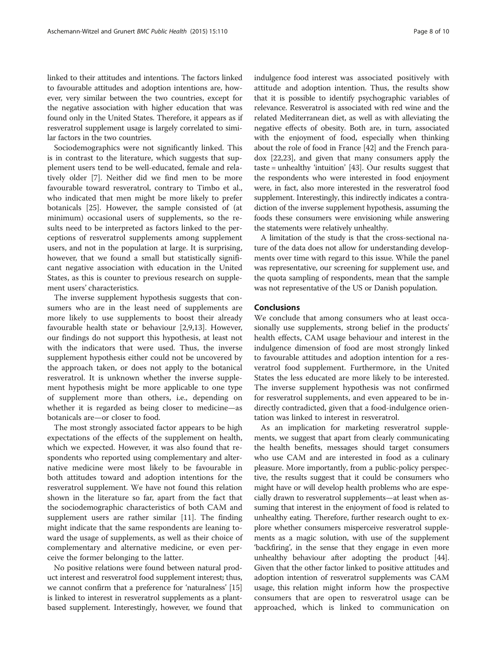linked to their attitudes and intentions. The factors linked to favourable attitudes and adoption intentions are, however, very similar between the two countries, except for the negative association with higher education that was found only in the United States. Therefore, it appears as if resveratrol supplement usage is largely correlated to similar factors in the two countries.

Sociodemographics were not significantly linked. This is in contrast to the literature, which suggests that supplement users tend to be well-educated, female and relatively older [\[7](#page-8-0)]. Neither did we find men to be more favourable toward resveratrol, contrary to Timbo et al., who indicated that men might be more likely to prefer botanicals [\[25](#page-8-0)]. However, the sample consisted of (at minimum) occasional users of supplements, so the results need to be interpreted as factors linked to the perceptions of resveratrol supplements among supplement users, and not in the population at large. It is surprising, however, that we found a small but statistically significant negative association with education in the United States, as this is counter to previous research on supplement users' characteristics.

The inverse supplement hypothesis suggests that consumers who are in the least need of supplements are more likely to use supplements to boost their already favourable health state or behaviour [[2](#page-8-0),[9,13\]](#page-8-0). However, our findings do not support this hypothesis, at least not with the indicators that were used. Thus, the inverse supplement hypothesis either could not be uncovered by the approach taken, or does not apply to the botanical resveratrol. It is unknown whether the inverse supplement hypothesis might be more applicable to one type of supplement more than others, i.e., depending on whether it is regarded as being closer to medicine—as botanicals are—or closer to food.

The most strongly associated factor appears to be high expectations of the effects of the supplement on health, which we expected. However, it was also found that respondents who reported using complementary and alternative medicine were most likely to be favourable in both attitudes toward and adoption intentions for the resveratrol supplement. We have not found this relation shown in the literature so far, apart from the fact that the sociodemographic characteristics of both CAM and supplement users are rather similar [[11\]](#page-8-0). The finding might indicate that the same respondents are leaning toward the usage of supplements, as well as their choice of complementary and alternative medicine, or even perceive the former belonging to the latter.

No positive relations were found between natural product interest and resveratrol food supplement interest; thus, we cannot confirm that a preference for 'naturalness' [[15](#page-8-0)] is linked to interest in resveratrol supplements as a plantbased supplement. Interestingly, however, we found that indulgence food interest was associated positively with attitude and adoption intention. Thus, the results show that it is possible to identify psychographic variables of relevance. Resveratrol is associated with red wine and the related Mediterranean diet, as well as with alleviating the negative effects of obesity. Both are, in turn, associated with the enjoyment of food, especially when thinking about the role of food in France [[42](#page-9-0)] and the French paradox [\[22,23\]](#page-8-0), and given that many consumers apply the taste = unhealthy 'intuition' [\[43\]](#page-9-0). Our results suggest that the respondents who were interested in food enjoyment were, in fact, also more interested in the resveratrol food supplement. Interestingly, this indirectly indicates a contradiction of the inverse supplement hypothesis, assuming the foods these consumers were envisioning while answering the statements were relatively unhealthy.

A limitation of the study is that the cross-sectional nature of the data does not allow for understanding developments over time with regard to this issue. While the panel was representative, our screening for supplement use, and the quota sampling of respondents, mean that the sample was not representative of the US or Danish population.

#### Conclusions

We conclude that among consumers who at least occasionally use supplements, strong belief in the products' health effects, CAM usage behaviour and interest in the indulgence dimension of food are most strongly linked to favourable attitudes and adoption intention for a resveratrol food supplement. Furthermore, in the United States the less educated are more likely to be interested. The inverse supplement hypothesis was not confirmed for resveratrol supplements, and even appeared to be indirectly contradicted, given that a food-indulgence orientation was linked to interest in resveratrol.

As an implication for marketing resveratrol supplements, we suggest that apart from clearly communicating the health benefits, messages should target consumers who use CAM and are interested in food as a culinary pleasure. More importantly, from a public-policy perspective, the results suggest that it could be consumers who might have or will develop health problems who are especially drawn to resveratrol supplements—at least when assuming that interest in the enjoyment of food is related to unhealthy eating. Therefore, further research ought to explore whether consumers misperceive resveratrol supplements as a magic solution, with use of the supplement 'backfiring', in the sense that they engage in even more unhealthy behaviour after adopting the product [[44](#page-9-0)]. Given that the other factor linked to positive attitudes and adoption intention of resveratrol supplements was CAM usage, this relation might inform how the prospective consumers that are open to resveratrol usage can be approached, which is linked to communication on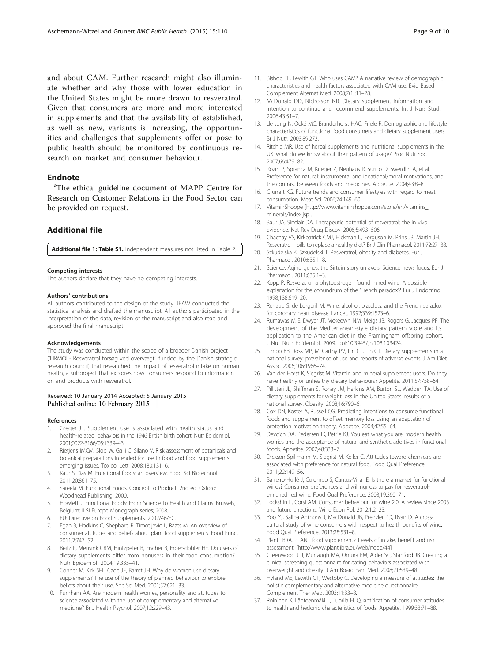<span id="page-8-0"></span>and about CAM. Further research might also illuminate whether and why those with lower education in the United States might be more drawn to resveratrol. Given that consumers are more and more interested in supplements and that the availability of established, as well as new, variants is increasing, the opportunities and challenges that supplements offer or pose to public health should be monitored by continuous research on market and consumer behaviour.

#### **Endnote**

The ethical guideline document of MAPP Centre for Research on Customer Relations in the Food Sector can be provided on request.

### Additional file

[Additional file 1: Table S1.](http://www.biomedcentral.com/content/supplementary/s12889-015-1348-7-s1.docx) Independent measures not listed in Table [2.](#page-5-0)

#### Competing interests

The authors declare that they have no competing interests.

#### Authors' contributions

All authors contributed to the design of the study. JEAW conducted the statistical analysis and drafted the manuscript. All authors participated in the interpretation of the data, revision of the manuscript and also read and approved the final manuscript.

#### Acknowledgements

The study was conducted within the scope of a broader Danish project ('LIRMOI - Resveratrol forsøg ved overvægt', funded by the Danish strategic research council) that researched the impact of resveratrol intake on human health, a subproject that explores how consumers respond to information on and products with resveratrol.

# Received: 10 January 2014 Accepted: 5 January 2015

#### References

- 1. Greger JL. Supplement use is associated with health status and health-related behaviors in the 1946 British birth cohort. Nutr Epidemiol. 2001;0022-3166/05:1339–43.
- 2. Rietjens IMCM, Slob W, Galli C, Silano V. Risk assessment of botanicals and botanical preparations intended for use in food and food supplements: emerging issues. Toxicol Lett. 2008;180:131–6.
- 3. Kaur S, Das M. Functional foods: an overview. Food Sci Biotechnol. 2011;20:861–75.
- 4. Sareela M. Functional Foods. Concept to Product. 2nd ed. Oxford: Woodhead Publishing; 2000.
- 5. Howlett J. Functional Foods: From Science to Health and Claims. Brussels, Belgium: ILSI Europe Monograph series; 2008.
- 6. EU: Directive on Food Supplements. 2002/46/EC.
- 7. Egan B, Hodkins C, Shephard R, Timotijevic L, Raats M. An overview of consumer attitudes and beliefs about plant food supplements. Food Funct. 2011;2:747–52.
- 8. Beitz R, Mensink GBM, Hintzpeter B, Fischer B, Erbersdobler HF. Do users of dietary supplements differ from nonusers in their food consumption? Nutr Epidemiol. 2004;19:335–41.
- Conner M, Kirk SFL, Cade JE, Barret JH. Why do women use dietary supplements? The use of the theory of planned behaviour to explore beliefs about their use. Soc Sci Med. 2001;52:621–33.
- 10. Furnham AA. Are modern health worries, personality and attitudes to science associated with the use of complementary and alternative medicine? Br J Health Psychol. 2007;12:229–43.
- 11. Bishop FL, Lewith GT. Who uses CAM? A narrative review of demographic characteristics and health factors associated with CAM use. Evid Based Complement Alternat Med. 2008;7(1):11–28.
- 12. McDonald DD, Nicholson NR. Dietary supplement information and intention to continue and recommend supplements. Int J Nurs Stud. 2006;43:51–7.
- 13. de Jong N, Ocké MC, Branderhorst HAC, Friele R. Demographic and lifestyle characteristics of functional food consumers and dietary supplement users. Br J Nutr. 2003;89:273.
- 14. Ritchie MR. Use of herbal supplements and nutritional supplements in the UK: what do we know about their pattern of usage? Proc Nutr Soc. 2007;66:479–82.
- 15. Rozin P, Spranca M, Krieger Z, Neuhaus R, Surillo D, Swerdlin A, et al. Preference for natural: instrumental and ideational/moral motivations, and the contrast between foods and medicines. Appetite. 2004;43:8–8.
- 16. Grunert KG. Future trends and consumer lifestyles with regard to meat consumption. Meat Sci. 2006;74:149–60.
- 17. VitaminShoppe [\[http://www.vitaminshoppe.com/store/en/vitamins\\_](http://www.vitaminshoppe.com/store/en/vitamins_minerals/index.jsp) [minerals/index.jsp\]](http://www.vitaminshoppe.com/store/en/vitamins_minerals/index.jsp).
- 18. Baur JA, Sinclair DA. Therapeutic potential of resveratrol: the in vivo evidence. Nat Rev Drug Discov. 2006;5:493–506.
- 19. Chachay VS, Kirkpatrick CMJ, Hickman IJ, Ferguson M, Prins JB, Martin JH. Resveratrol - pills to replace a healthy diet? Br J Clin Pharmacol. 2011;72:27–38.
- 20. Szkudelska K, Szkudelski T. Resveratrol, obesity and diabetes. Eur J Pharmacol. 2010;635:1–8.
- 21. Science. Aging genes: the Sirtuin story unravels. Science news focus. Eur J Pharmacol. 2011;635:1–3.
- 22. Kopp P. Resveratrol, a phytoestrogen found in red wine. A possible explanation for the conundrum of the 'French paradox'? Eur J Endocrinol. 1998;138:619–20.
- 23. Renaud S, de Lorgeril M. Wine, alcohol, platelets, and the French paradox for coronary heart disease. Lancet. 1992;339:1523–6.
- 24. Rumawas M E, Dwyer JT, Mckeown NM, Meigs JB, Rogers G, Jacques PF. The development of the Mediterranean-style dietary pattern score and its application to the American diet in the Framingham offspring cohort. J Nut Nutr Epidemiol. 2009. doi:10.3945/jn.108.103424.
- 25. Timbo BB, Ross MP, McCarthy PV, Lin CT, Lin CT. Dietary supplements in a national survey: prevalence of use and reports of adverse events. J Am Diet Assoc. 2006;106:1966–74.
- 26. Van der Horst K, Siegrist M. Vitamin and mineral supplement users. Do they have healthy or unhealthy dietary behaviours? Appetite. 2011;57:758–64.
- 27. Pillitteri JL, Shiffman S, Rohay JM, Harkins AM, Burton SL, Wadden TA. Use of dietary supplements for weight loss in the United States: results of a national survey. Obesity. 2008;16:790–6.
- 28. Cox DN, Koster A, Russell CG. Predicting intentions to consume functional foods and supplement to offset memory loss using an adaptation of protection motivation theory. Appetite. 2004;42:55–64.
- 29. Devcich DA, Pedersen IK, Petrie KJ. You eat what you are: modern health worries and the acceptance of natural and synthetic additives in functional foods. Appetite. 2007;48:333–7.
- 30. Dickson-Spillmann M, Siegrist M, Keller C. Attitudes toward chemicals are associated with preference for natural food. Food Qual Preference. 2011;22:149–56.
- 31. Barreiro-Hurlé J, Colombo S, Cantos-Villar E. Is there a market for functional wines? Consumer preferences and willingness to pay for resveratrolenriched red wine. Food Qual Preference. 2008;19:360–71.
- 32. Lockshin L, Corsi AM. Consumer behaviour for wine 2.0. A review since 2003 and future directions. Wine Econ Pol. 2012;1:2–23.
- 33. Yoo YJ, Saliba Anthony J, MacDonald JB, Prenzler PD, Ryan D. A crosscultural study of wine consumers with respect to health benefits of wine. Food Qual Preference. 2013;28:531–8.
- 34. PlantLIBRA. PLANT food supplements: Levels of intake, benefit and risk assessment. [\[http://www.plantlibra.eu/web/node/44\]](http://www.plantlibra.eu/web/node/44)
- 35. Greenwood JLJ, Murtaugh MA, Omura EM, Alder SC, Stanford JB. Creating a clinical screening questionnaire for eating behaviors associated with overweight and obesity. J Am Board Fam Med. 2008;21:539–48.
- 36. Hyland ME, Lewith GT, Westoby C. Developing a measure of attitudes: the holistic complementary and alternative medicine questionnaire. Complement Ther Med. 2003;11:33–8.
- 37. Roininen K, Lähteenmäki L, Tuorila H. Quantification of consumer attitudes to health and hedonic characteristics of foods. Appetite. 1999;33:71–88.